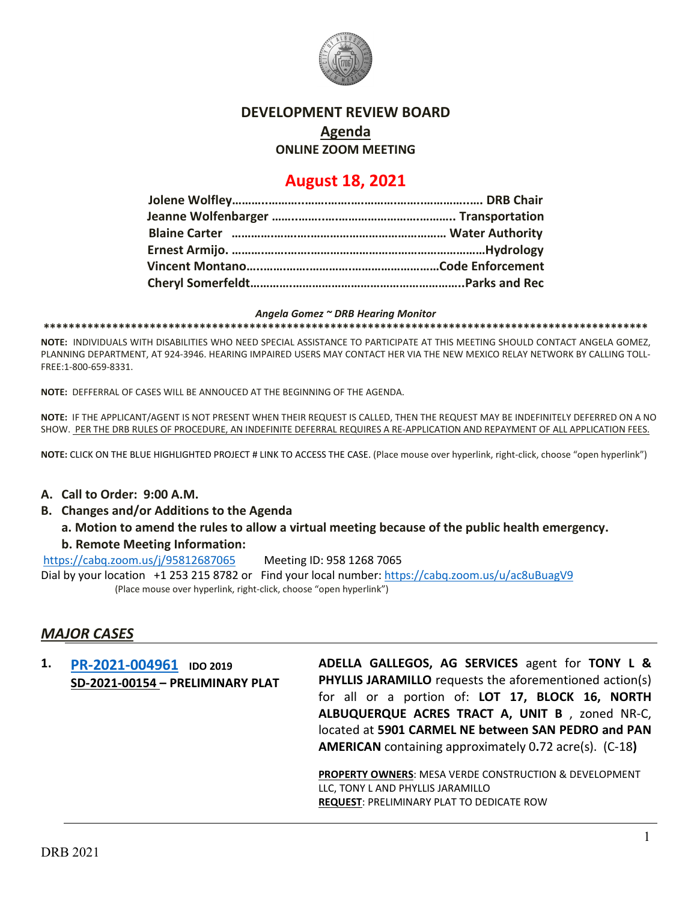

## **DEVELOPMENT REVIEW BOARD**

**Agenda**

**ONLINE ZOOM MEETING**

# **August 18, 2021**

#### *Angela Gomez ~ DRB Hearing Monitor*

**\*\*\*\*\*\*\*\*\*\*\*\*\*\*\*\*\*\*\*\*\*\*\*\*\*\*\*\*\*\*\*\*\*\*\*\*\*\*\*\*\*\*\*\*\*\*\*\*\*\*\*\*\*\*\*\*\*\*\*\*\*\*\*\*\*\*\*\*\*\*\*\*\*\*\*\*\*\*\*\*\*\*\*\*\*\*\*\*\*\*\*\*\*\*\*\*\***

**NOTE:** INDIVIDUALS WITH DISABILITIES WHO NEED SPECIAL ASSISTANCE TO PARTICIPATE AT THIS MEETING SHOULD CONTACT ANGELA GOMEZ, PLANNING DEPARTMENT, AT 924-3946. HEARING IMPAIRED USERS MAY CONTACT HER VIA THE NEW MEXICO RELAY NETWORK BY CALLING TOLL-FREE:1-800-659-8331.

**NOTE:** DEFFERRAL OF CASES WILL BE ANNOUCED AT THE BEGINNING OF THE AGENDA.

**NOTE:** IF THE APPLICANT/AGENT IS NOT PRESENT WHEN THEIR REQUEST IS CALLED, THEN THE REQUEST MAY BE INDEFINITELY DEFERRED ON A NO SHOW. PER THE DRB RULES OF PROCEDURE, AN INDEFINITE DEFERRAL REQUIRES A RE-APPLICATION AND REPAYMENT OF ALL APPLICATION FEES.

**NOTE:** CLICK ON THE BLUE HIGHLIGHTED PROJECT # LINK TO ACCESS THE CASE. (Place mouse over hyperlink, right-click, choose "open hyperlink")

#### **A. Call to Order: 9:00 A.M.**

- **B. Changes and/or Additions to the Agenda**
	- **a. Motion to amend the rules to allow a virtual meeting because of the public health emergency.**

#### **b. Remote Meeting Information:**

<https://cabq.zoom.us/j/95812687065>Meeting ID: 958 1268 7065

Dial by your location +1 253 215 8782 or Find your local number[: https://cabq.zoom.us/u/ac8uBuagV9](https://cabq.zoom.us/u/ac8uBuagV9) (Place mouse over hyperlink, right-click, choose "open hyperlink")

### *MAJOR CASES*

**1. [PR-2021-004961](http://data.cabq.gov/government/planning/DRB/PR-2021-004961/DRB%20Submittals/PR-2021-004961_AUG_18_2021%20(PP)/Application/Adella_Gallegos_PP_Application_Complete.pdf) IDO 2019 SD-2021-00154 – PRELIMINARY PLAT** **ADELLA GALLEGOS, AG SERVICES** agent for **TONY L & PHYLLIS JARAMILLO** requests the aforementioned action(s) for all or a portion of: **LOT 17, BLOCK 16, NORTH ALBUQUERQUE ACRES TRACT A, UNIT B** , zoned NR-C, located at **5901 CARMEL NE between SAN PEDRO and PAN AMERICAN** containing approximately 0**.**72 acre(s). (C-18**)**

**PROPERTY OWNERS**: MESA VERDE CONSTRUCTION & DEVELOPMENT LLC, TONY L AND PHYLLIS JARAMILLO **REQUEST**: PRELIMINARY PLAT TO DEDICATE ROW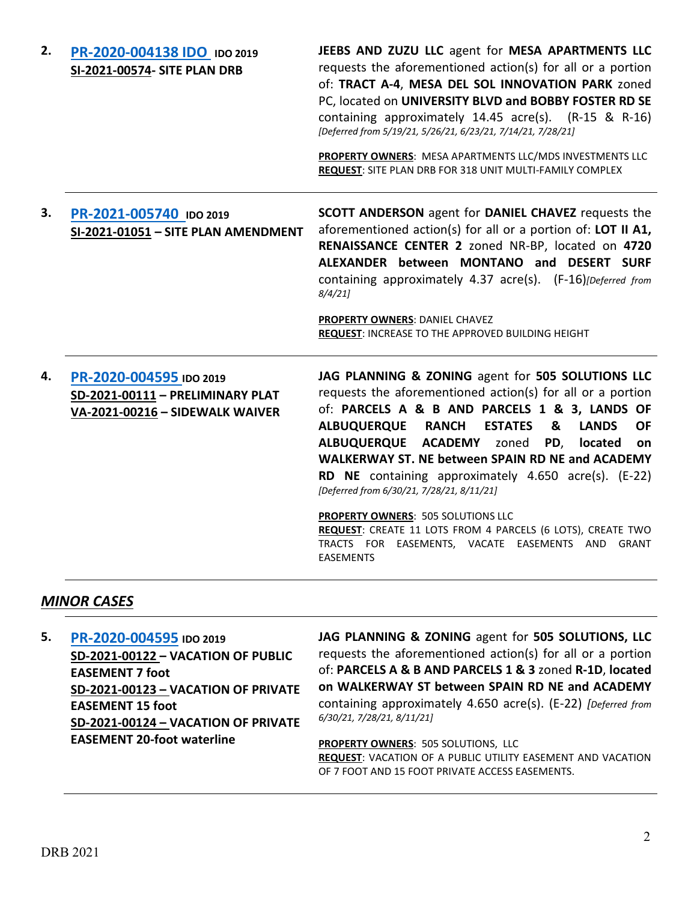| 2. | PR-2020-004138 IDO IDO 2019<br>SI-2021-00574- SITE PLAN DRB                                    | JEEBS AND ZUZU LLC agent for MESA APARTMENTS LLC<br>requests the aforementioned action(s) for all or a portion<br>of: TRACT A-4, MESA DEL SOL INNOVATION PARK zoned<br>PC, located on UNIVERSITY BLVD and BOBBY FOSTER RD SE<br>containing approximately $14.45$ acre(s). $(R-15 \& R-16)$<br>[Deferred from 5/19/21, 5/26/21, 6/23/21, 7/14/21, 7/28/21]<br>PROPERTY OWNERS: MESA APARTMENTS LLC/MDS INVESTMENTS LLC<br>REQUEST: SITE PLAN DRB FOR 318 UNIT MULTI-FAMILY COMPLEX                                                                                                                                                                                   |
|----|------------------------------------------------------------------------------------------------|---------------------------------------------------------------------------------------------------------------------------------------------------------------------------------------------------------------------------------------------------------------------------------------------------------------------------------------------------------------------------------------------------------------------------------------------------------------------------------------------------------------------------------------------------------------------------------------------------------------------------------------------------------------------|
| 3. | PR-2021-005740 IDO 2019<br>SI-2021-01051 - SITE PLAN AMENDMENT                                 | <b>SCOTT ANDERSON</b> agent for <b>DANIEL CHAVEZ</b> requests the<br>aforementioned action(s) for all or a portion of: LOT II A1,<br>RENAISSANCE CENTER 2 zoned NR-BP, located on 4720<br>ALEXANDER between MONTANO and DESERT SURF<br>containing approximately 4.37 acre(s). (F-16)[Deferred from<br>8/4/21<br>PROPERTY OWNERS: DANIEL CHAVEZ<br>REQUEST: INCREASE TO THE APPROVED BUILDING HEIGHT                                                                                                                                                                                                                                                                 |
| 4. | PR-2020-004595 IDO 2019<br>SD-2021-00111 - PRELIMINARY PLAT<br>VA-2021-00216 - SIDEWALK WAIVER | JAG PLANNING & ZONING agent for 505 SOLUTIONS LLC<br>requests the aforementioned action(s) for all or a portion<br>of: PARCELS A & B AND PARCELS 1 & 3, LANDS OF<br><b>ALBUQUERQUE</b><br><b>RANCH</b><br><b>ESTATES</b><br>&<br><b>LANDS</b><br><b>OF</b><br>ALBUQUERQUE ACADEMY zoned<br>PD,<br>located<br><b>on</b><br><b>WALKERWAY ST. NE between SPAIN RD NE and ACADEMY</b><br>RD NE containing approximately 4.650 acre(s). (E-22)<br>[Deferred from 6/30/21, 7/28/21, 8/11/21]<br>PROPERTY OWNERS: 505 SOLUTIONS LLC<br>REQUEST: CREATE 11 LOTS FROM 4 PARCELS (6 LOTS), CREATE TWO<br>TRACTS FOR EASEMENTS, VACATE EASEMENTS AND GRANT<br><b>EASEMENTS</b> |

### *MINOR CASES*

**5. [PR-2020-004595](http://data.cabq.gov/government/planning/DRB/PR-2020-004595/DRB%20Submittals/) IDO 2019 SD-2021-00122 – VACATION OF PUBLIC EASEMENT 7 foot SD-2021-00123 – VACATION OF PRIVATE EASEMENT 15 foot SD-2021-00124 – VACATION OF PRIVATE EASEMENT 20-foot waterline**

**JAG PLANNING & ZONING** agent for **505 SOLUTIONS, LLC** requests the aforementioned action(s) for all or a portion of: **PARCELS A & B AND PARCELS 1 & 3** zoned **R-1D**, **located on WALKERWAY ST between SPAIN RD NE and ACADEMY**  containing approximately 4.650 acre(s). (E-22) *[Deferred from 6/30/21, 7/28/21, 8/11/21]*

**PROPERTY OWNERS: 505 SOLUTIONS, LLC REQUEST**: VACATION OF A PUBLIC UTILITY EASEMENT AND VACATION OF 7 FOOT AND 15 FOOT PRIVATE ACCESS EASEMENTS.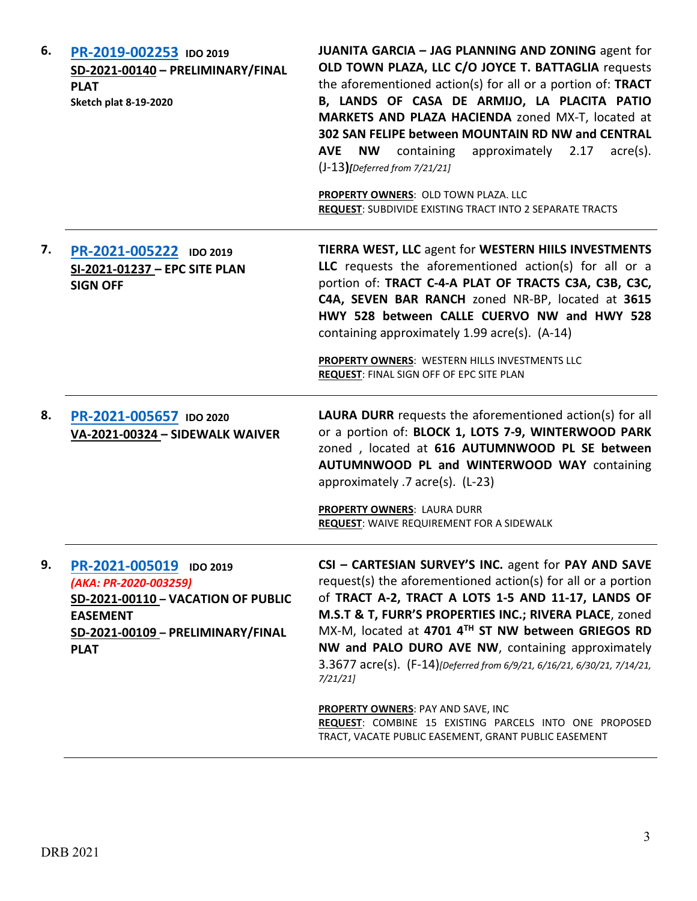| 6. | PR-2019-002253 IDO 2019<br>SD-2021-00140 - PRELIMINARY/FINAL<br><b>PLAT</b><br><b>Sketch plat 8-19-2020</b>                                                   | JUANITA GARCIA - JAG PLANNING AND ZONING agent for<br>OLD TOWN PLAZA, LLC C/O JOYCE T. BATTAGLIA requests<br>the aforementioned action(s) for all or a portion of: TRACT<br>B, LANDS OF CASA DE ARMIJO, LA PLACITA PATIO<br>MARKETS AND PLAZA HACIENDA zoned MX-T, located at<br>302 SAN FELIPE between MOUNTAIN RD NW and CENTRAL<br>containing approximately 2.17<br><b>AVE</b><br><b>NW</b><br>$\text{acre}(s)$ .<br>$(J-13)$ [Deferred from 7/21/21]<br>PROPERTY OWNERS: OLD TOWN PLAZA. LLC<br><b>REQUEST: SUBDIVIDE EXISTING TRACT INTO 2 SEPARATE TRACTS</b> |
|----|---------------------------------------------------------------------------------------------------------------------------------------------------------------|---------------------------------------------------------------------------------------------------------------------------------------------------------------------------------------------------------------------------------------------------------------------------------------------------------------------------------------------------------------------------------------------------------------------------------------------------------------------------------------------------------------------------------------------------------------------|
| 7. | PR-2021-005222 IDO 2019<br>SI-2021-01237 - EPC SITE PLAN<br><b>SIGN OFF</b>                                                                                   | <b>TIERRA WEST, LLC agent for WESTERN HIILS INVESTMENTS</b><br>LLC requests the aforementioned action(s) for all or a<br>portion of: TRACT C-4-A PLAT OF TRACTS C3A, C3B, C3C,<br>C4A, SEVEN BAR RANCH zoned NR-BP, located at 3615<br>HWY 528 between CALLE CUERVO NW and HWY 528<br>containing approximately 1.99 acre(s). (A-14)<br>PROPERTY OWNERS: WESTERN HILLS INVESTMENTS LLC<br>REQUEST: FINAL SIGN OFF OF EPC SITE PLAN                                                                                                                                   |
| 8. | PR-2021-005657 IDO 2020<br>VA-2021-00324 - SIDEWALK WAIVER                                                                                                    | <b>LAURA DURR</b> requests the aforementioned action(s) for all<br>or a portion of: BLOCK 1, LOTS 7-9, WINTERWOOD PARK<br>zoned, located at 616 AUTUMNWOOD PL SE between<br>AUTUMNWOOD PL and WINTERWOOD WAY containing<br>approximately .7 acre(s). (L-23)<br>PROPERTY OWNERS: LAURA DURR<br><b>REQUEST: WAIVE REQUIREMENT FOR A SIDEWALK</b>                                                                                                                                                                                                                      |
| 9. | PR-2021-005019 IDO 2019<br>(AKA: PR-2020-003259)<br>SD-2021-00110 - VACATION OF PUBLIC<br><b>EASEMENT</b><br>SD-2021-00109 - PRELIMINARY/FINAL<br><b>PLAT</b> | CSI - CARTESIAN SURVEY'S INC. agent for PAY AND SAVE<br>request(s) the aforementioned action(s) for all or a portion<br>of TRACT A-2, TRACT A LOTS 1-5 AND 11-17, LANDS OF<br>M.S.T & T, FURR'S PROPERTIES INC.; RIVERA PLACE, zoned<br>MX-M, located at 4701 4TH ST NW between GRIEGOS RD<br>NW and PALO DURO AVE NW, containing approximately<br>3.3677 acre(s). (F-14)[Deferred from 6/9/21, 6/16/21, 6/30/21, 7/14/21,<br>7/21/21<br><b>PROPERTY OWNERS: PAY AND SAVE, INC</b>                                                                                  |
|    |                                                                                                                                                               | REQUEST: COMBINE 15 EXISTING PARCELS INTO ONE PROPOSED<br>TRACT, VACATE PUBLIC EASEMENT, GRANT PUBLIC EASEMENT                                                                                                                                                                                                                                                                                                                                                                                                                                                      |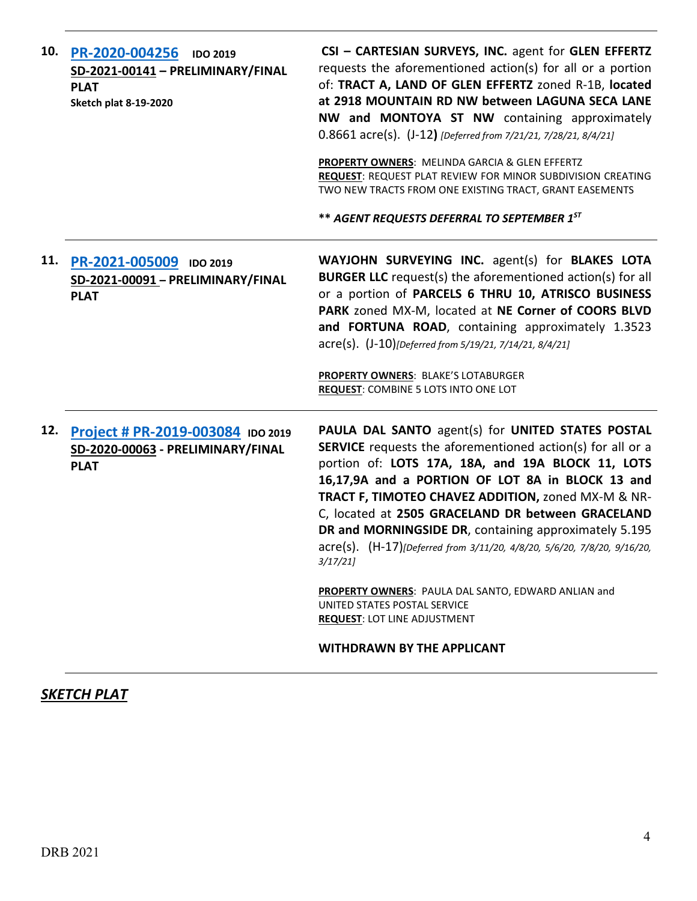| 10. | PR-2020-004256<br><b>IDO 2019</b><br>SD-2021-00141 - PRELIMINARY/FINAL<br><b>PLAT</b><br><b>Sketch plat 8-19-2020</b> | CSI - CARTESIAN SURVEYS, INC. agent for GLEN EFFERTZ<br>requests the aforementioned action(s) for all or a portion<br>of: TRACT A, LAND OF GLEN EFFERTZ zoned R-1B, located<br>at 2918 MOUNTAIN RD NW between LAGUNA SECA LANE<br>NW and MONTOYA ST NW containing approximately<br>0.8661 acre(s). (J-12) [Deferred from 7/21/21, 7/28/21, 8/4/21]<br>PROPERTY OWNERS: MELINDA GARCIA & GLEN EFFERTZ<br><b>REQUEST: REQUEST PLAT REVIEW FOR MINOR SUBDIVISION CREATING</b><br>TWO NEW TRACTS FROM ONE EXISTING TRACT, GRANT EASEMENTS<br>** AGENT REQUESTS DEFERRAL TO SEPTEMBER 1ST                                                                  |
|-----|-----------------------------------------------------------------------------------------------------------------------|-------------------------------------------------------------------------------------------------------------------------------------------------------------------------------------------------------------------------------------------------------------------------------------------------------------------------------------------------------------------------------------------------------------------------------------------------------------------------------------------------------------------------------------------------------------------------------------------------------------------------------------------------------|
| 11. | PR-2021-005009<br><b>IDO 2019</b><br>SD-2021-00091 - PRELIMINARY/FINAL<br><b>PLAT</b>                                 | WAYJOHN SURVEYING INC. agent(s) for BLAKES LOTA<br><b>BURGER LLC</b> request(s) the aforementioned action(s) for all<br>or a portion of PARCELS 6 THRU 10, ATRISCO BUSINESS<br>PARK zoned MX-M, located at NE Corner of COORS BLVD<br>and FORTUNA ROAD, containing approximately 1.3523<br>acre(s). (J-10)[Deferred from 5/19/21, 7/14/21, 8/4/21]<br>PROPERTY OWNERS: BLAKE'S LOTABURGER<br><b>REQUEST: COMBINE 5 LOTS INTO ONE LOT</b>                                                                                                                                                                                                              |
| 12. | Project # PR-2019-003084 IDO 2019<br>SD-2020-00063 - PRELIMINARY/FINAL<br><b>PLAT</b>                                 | PAULA DAL SANTO agent(s) for UNITED STATES POSTAL<br>SERVICE requests the aforementioned action(s) for all or a<br>portion of: LOTS 17A, 18A, and 19A BLOCK 11, LOTS<br>16,17,9A and a PORTION OF LOT 8A in BLOCK 13 and<br>TRACT F, TIMOTEO CHAVEZ ADDITION, zoned MX-M & NR-<br>C, located at 2505 GRACELAND DR between GRACELAND<br>DR and MORNINGSIDE DR, containing approximately 5.195<br>acre(s). (H-17)[Deferred from 3/11/20, 4/8/20, 5/6/20, 7/8/20, 9/16/20,<br>3/17/21<br>PROPERTY OWNERS: PAULA DAL SANTO, EDWARD ANLIAN and<br>UNITED STATES POSTAL SERVICE<br><b>REQUEST: LOT LINE ADJUSTMENT</b><br><b>WITHDRAWN BY THE APPLICANT</b> |

## *SKETCH PLAT*